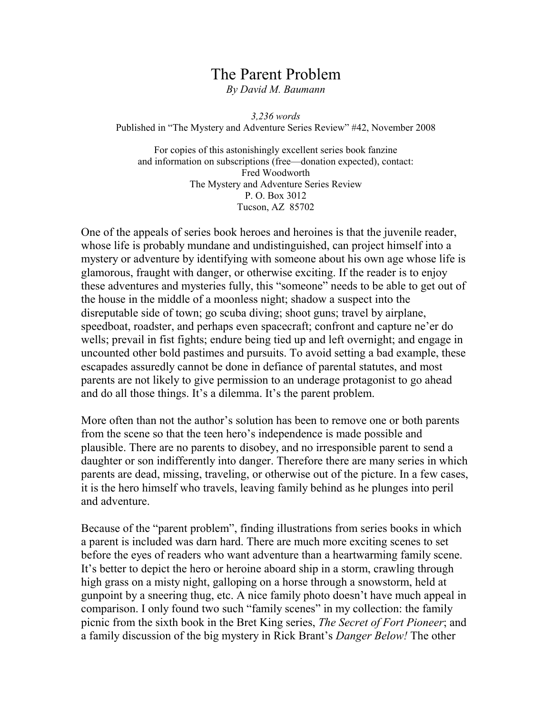# The Parent Problem

By David M. Baumann

3,236 words Published in "The Mystery and Adventure Series Review" #42, November 2008

For copies of this astonishingly excellent series book fanzine and information on subscriptions (free—donation expected), contact: Fred Woodworth The Mystery and Adventure Series Review P. O. Box 3012 Tucson, AZ 85702

One of the appeals of series book heroes and heroines is that the juvenile reader, whose life is probably mundane and undistinguished, can project himself into a mystery or adventure by identifying with someone about his own age whose life is glamorous, fraught with danger, or otherwise exciting. If the reader is to enjoy these adventures and mysteries fully, this "someone" needs to be able to get out of the house in the middle of a moonless night; shadow a suspect into the disreputable side of town; go scuba diving; shoot guns; travel by airplane, speedboat, roadster, and perhaps even spacecraft; confront and capture ne'er do wells; prevail in fist fights; endure being tied up and left overnight; and engage in uncounted other bold pastimes and pursuits. To avoid setting a bad example, these escapades assuredly cannot be done in defiance of parental statutes, and most parents are not likely to give permission to an underage protagonist to go ahead and do all those things. It's a dilemma. It's the parent problem.

More often than not the author's solution has been to remove one or both parents from the scene so that the teen hero's independence is made possible and plausible. There are no parents to disobey, and no irresponsible parent to send a daughter or son indifferently into danger. Therefore there are many series in which parents are dead, missing, traveling, or otherwise out of the picture. In a few cases, it is the hero himself who travels, leaving family behind as he plunges into peril and adventure.

Because of the "parent problem", finding illustrations from series books in which a parent is included was darn hard. There are much more exciting scenes to set before the eyes of readers who want adventure than a heartwarming family scene. It's better to depict the hero or heroine aboard ship in a storm, crawling through high grass on a misty night, galloping on a horse through a snowstorm, held at gunpoint by a sneering thug, etc. A nice family photo doesn't have much appeal in comparison. I only found two such "family scenes" in my collection: the family picnic from the sixth book in the Bret King series, The Secret of Fort Pioneer; and a family discussion of the big mystery in Rick Brant's *Danger Below!* The other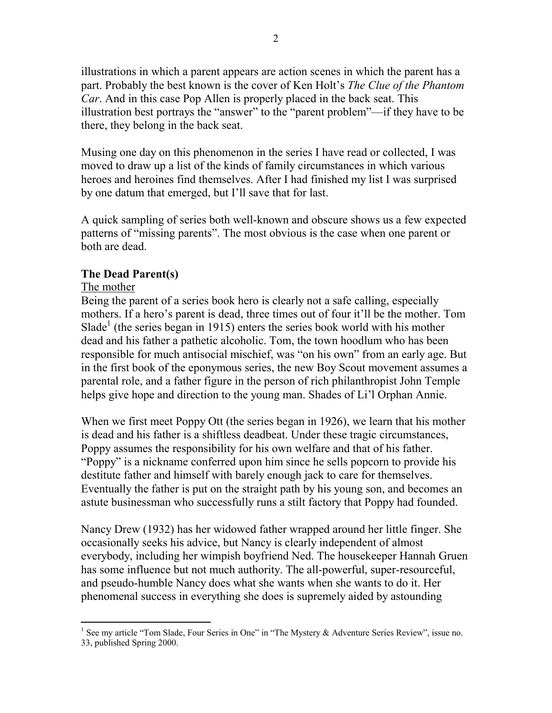illustrations in which a parent appears are action scenes in which the parent has a part. Probably the best known is the cover of Ken Holt's The Clue of the Phantom Car. And in this case Pop Allen is properly placed in the back seat. This illustration best portrays the "answer" to the "parent problem"—if they have to be there, they belong in the back seat.

Musing one day on this phenomenon in the series I have read or collected, I was moved to draw up a list of the kinds of family circumstances in which various heroes and heroines find themselves. After I had finished my list I was surprised by one datum that emerged, but I'll save that for last.

A quick sampling of series both well-known and obscure shows us a few expected patterns of "missing parents". The most obvious is the case when one parent or both are dead.

# The Dead Parent(s)

# The mother

Being the parent of a series book hero is clearly not a safe calling, especially mothers. If a hero's parent is dead, three times out of four it'll be the mother. Tom Slade<sup>1</sup> (the series began in 1915) enters the series book world with his mother dead and his father a pathetic alcoholic. Tom, the town hoodlum who has been responsible for much antisocial mischief, was "on his own" from an early age. But in the first book of the eponymous series, the new Boy Scout movement assumes a parental role, and a father figure in the person of rich philanthropist John Temple helps give hope and direction to the young man. Shades of Li'l Orphan Annie.

When we first meet Poppy Ott (the series began in 1926), we learn that his mother is dead and his father is a shiftless deadbeat. Under these tragic circumstances, Poppy assumes the responsibility for his own welfare and that of his father. "Poppy" is a nickname conferred upon him since he sells popcorn to provide his destitute father and himself with barely enough jack to care for themselves. Eventually the father is put on the straight path by his young son, and becomes an astute businessman who successfully runs a stilt factory that Poppy had founded.

Nancy Drew (1932) has her widowed father wrapped around her little finger. She occasionally seeks his advice, but Nancy is clearly independent of almost everybody, including her wimpish boyfriend Ned. The housekeeper Hannah Gruen has some influence but not much authority. The all-powerful, super-resourceful, and pseudo-humble Nancy does what she wants when she wants to do it. Her phenomenal success in everything she does is supremely aided by astounding

<sup>-</sup><sup>1</sup> See my article "Tom Slade, Four Series in One" in "The Mystery & Adventure Series Review", issue no. 33, published Spring 2000.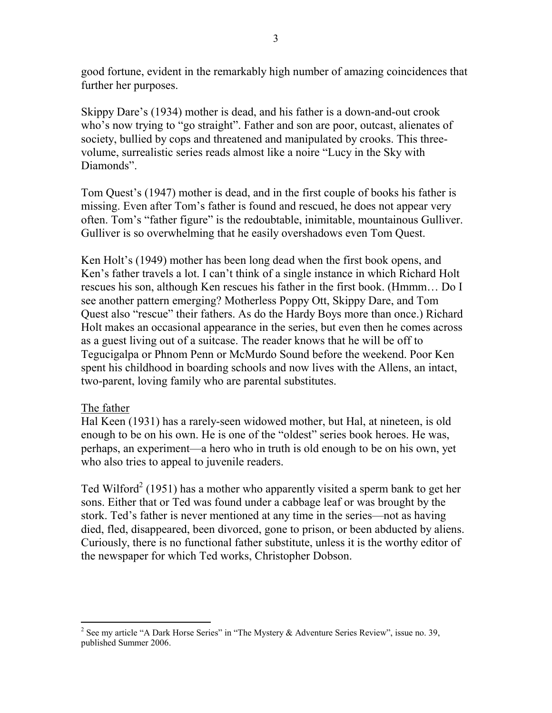good fortune, evident in the remarkably high number of amazing coincidences that further her purposes.

Skippy Dare's (1934) mother is dead, and his father is a down-and-out crook who's now trying to "go straight". Father and son are poor, outcast, alienates of society, bullied by cops and threatened and manipulated by crooks. This threevolume, surrealistic series reads almost like a noire "Lucy in the Sky with Diamonds".

Tom Quest's (1947) mother is dead, and in the first couple of books his father is missing. Even after Tom's father is found and rescued, he does not appear very often. Tom's "father figure" is the redoubtable, inimitable, mountainous Gulliver. Gulliver is so overwhelming that he easily overshadows even Tom Quest.

Ken Holt's (1949) mother has been long dead when the first book opens, and Ken's father travels a lot. I can't think of a single instance in which Richard Holt rescues his son, although Ken rescues his father in the first book. (Hmmm… Do I see another pattern emerging? Motherless Poppy Ott, Skippy Dare, and Tom Quest also "rescue" their fathers. As do the Hardy Boys more than once.) Richard Holt makes an occasional appearance in the series, but even then he comes across as a guest living out of a suitcase. The reader knows that he will be off to Tegucigalpa or Phnom Penn or McMurdo Sound before the weekend. Poor Ken spent his childhood in boarding schools and now lives with the Allens, an intact, two-parent, loving family who are parental substitutes.

### The father

Hal Keen (1931) has a rarely-seen widowed mother, but Hal, at nineteen, is old enough to be on his own. He is one of the "oldest" series book heroes. He was, perhaps, an experiment—a hero who in truth is old enough to be on his own, yet who also tries to appeal to juvenile readers.

Ted Wilford<sup>2</sup> (1951) has a mother who apparently visited a sperm bank to get her sons. Either that or Ted was found under a cabbage leaf or was brought by the stork. Ted's father is never mentioned at any time in the series—not as having died, fled, disappeared, been divorced, gone to prison, or been abducted by aliens. Curiously, there is no functional father substitute, unless it is the worthy editor of the newspaper for which Ted works, Christopher Dobson.

<sup>&</sup>lt;sup>2</sup> See my article "A Dark Horse Series" in "The Mystery & Adventure Series Review", issue no. 39, published Summer 2006.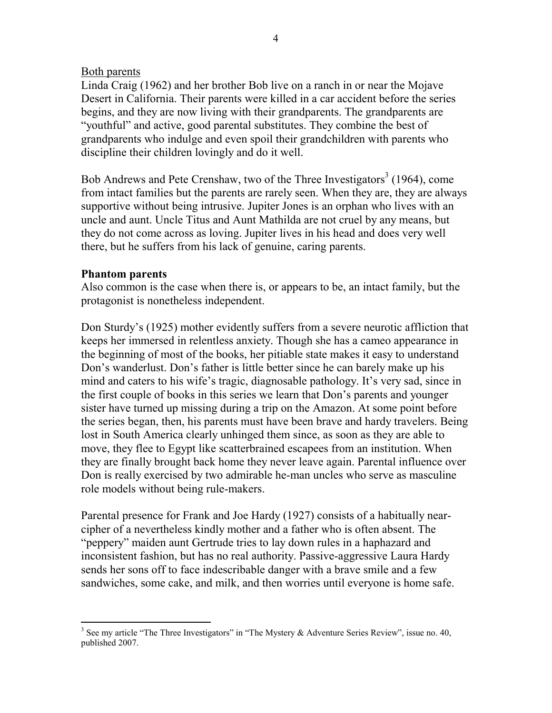### Both parents

Linda Craig (1962) and her brother Bob live on a ranch in or near the Mojave Desert in California. Their parents were killed in a car accident before the series begins, and they are now living with their grandparents. The grandparents are "youthful" and active, good parental substitutes. They combine the best of grandparents who indulge and even spoil their grandchildren with parents who discipline their children lovingly and do it well.

Bob Andrews and Pete Crenshaw, two of the Three Investigators<sup>3</sup> (1964), come from intact families but the parents are rarely seen. When they are, they are always supportive without being intrusive. Jupiter Jones is an orphan who lives with an uncle and aunt. Uncle Titus and Aunt Mathilda are not cruel by any means, but they do not come across as loving. Jupiter lives in his head and does very well there, but he suffers from his lack of genuine, caring parents.

### Phantom parents

Also common is the case when there is, or appears to be, an intact family, but the protagonist is nonetheless independent.

Don Sturdy's (1925) mother evidently suffers from a severe neurotic affliction that keeps her immersed in relentless anxiety. Though she has a cameo appearance in the beginning of most of the books, her pitiable state makes it easy to understand Don's wanderlust. Don's father is little better since he can barely make up his mind and caters to his wife's tragic, diagnosable pathology. It's very sad, since in the first couple of books in this series we learn that Don's parents and younger sister have turned up missing during a trip on the Amazon. At some point before the series began, then, his parents must have been brave and hardy travelers. Being lost in South America clearly unhinged them since, as soon as they are able to move, they flee to Egypt like scatterbrained escapees from an institution. When they are finally brought back home they never leave again. Parental influence over Don is really exercised by two admirable he-man uncles who serve as masculine role models without being rule-makers.

Parental presence for Frank and Joe Hardy (1927) consists of a habitually nearcipher of a nevertheless kindly mother and a father who is often absent. The "peppery" maiden aunt Gertrude tries to lay down rules in a haphazard and inconsistent fashion, but has no real authority. Passive-aggressive Laura Hardy sends her sons off to face indescribable danger with a brave smile and a few sandwiches, some cake, and milk, and then worries until everyone is home safe.

<sup>-</sup><sup>3</sup> See my article "The Three Investigators" in "The Mystery & Adventure Series Review", issue no. 40, published 2007.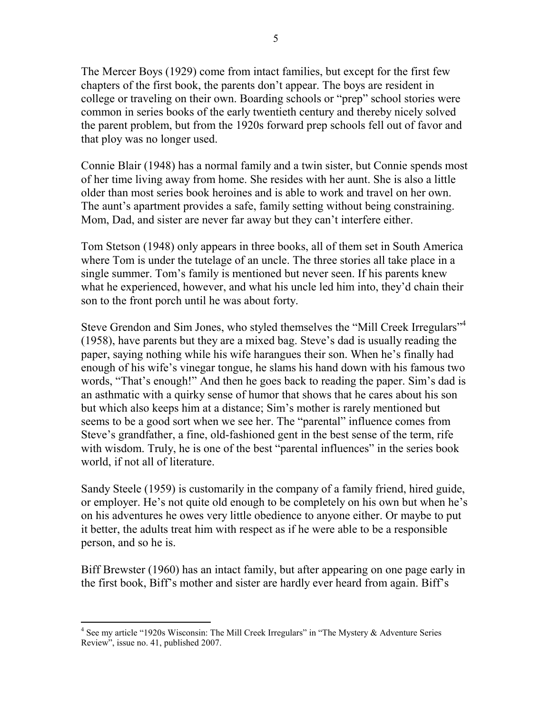The Mercer Boys (1929) come from intact families, but except for the first few chapters of the first book, the parents don't appear. The boys are resident in college or traveling on their own. Boarding schools or "prep" school stories were common in series books of the early twentieth century and thereby nicely solved the parent problem, but from the 1920s forward prep schools fell out of favor and that ploy was no longer used.

Connie Blair (1948) has a normal family and a twin sister, but Connie spends most of her time living away from home. She resides with her aunt. She is also a little older than most series book heroines and is able to work and travel on her own. The aunt's apartment provides a safe, family setting without being constraining. Mom, Dad, and sister are never far away but they can't interfere either.

Tom Stetson (1948) only appears in three books, all of them set in South America where Tom is under the tutelage of an uncle. The three stories all take place in a single summer. Tom's family is mentioned but never seen. If his parents knew what he experienced, however, and what his uncle led him into, they'd chain their son to the front porch until he was about forty.

Steve Grendon and Sim Jones, who styled themselves the "Mill Creek Irregulars"<sup>4</sup> (1958), have parents but they are a mixed bag. Steve's dad is usually reading the paper, saying nothing while his wife harangues their son. When he's finally had enough of his wife's vinegar tongue, he slams his hand down with his famous two words, "That's enough!" And then he goes back to reading the paper. Sim's dad is an asthmatic with a quirky sense of humor that shows that he cares about his son but which also keeps him at a distance; Sim's mother is rarely mentioned but seems to be a good sort when we see her. The "parental" influence comes from Steve's grandfather, a fine, old-fashioned gent in the best sense of the term, rife with wisdom. Truly, he is one of the best "parental influences" in the series book world, if not all of literature.

Sandy Steele (1959) is customarily in the company of a family friend, hired guide, or employer. He's not quite old enough to be completely on his own but when he's on his adventures he owes very little obedience to anyone either. Or maybe to put it better, the adults treat him with respect as if he were able to be a responsible person, and so he is.

Biff Brewster (1960) has an intact family, but after appearing on one page early in the first book, Biff's mother and sister are hardly ever heard from again. Biff's

<sup>&</sup>lt;sup>4</sup> See my article "1920s Wisconsin: The Mill Creek Irregulars" in "The Mystery & Adventure Series Review", issue no. 41, published 2007.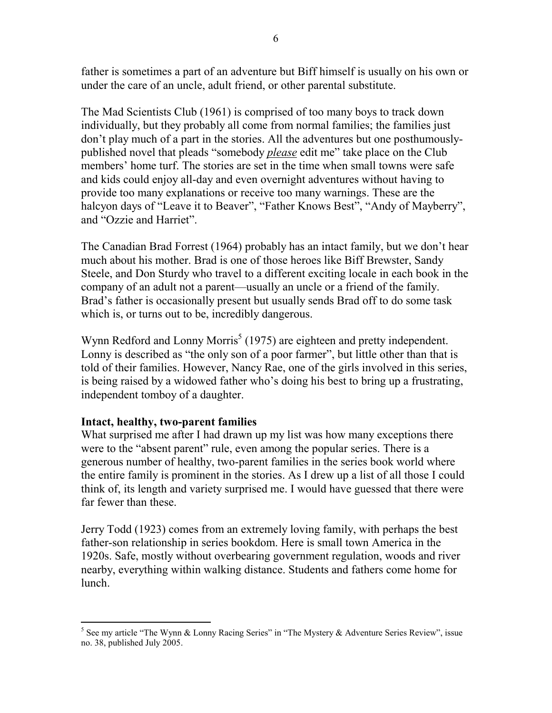father is sometimes a part of an adventure but Biff himself is usually on his own or under the care of an uncle, adult friend, or other parental substitute.

The Mad Scientists Club (1961) is comprised of too many boys to track down individually, but they probably all come from normal families; the families just don't play much of a part in the stories. All the adventures but one posthumouslypublished novel that pleads "somebody *please* edit me" take place on the Club members' home turf. The stories are set in the time when small towns were safe and kids could enjoy all-day and even overnight adventures without having to provide too many explanations or receive too many warnings. These are the halcyon days of "Leave it to Beaver", "Father Knows Best", "Andy of Mayberry", and "Ozzie and Harriet".

The Canadian Brad Forrest (1964) probably has an intact family, but we don't hear much about his mother. Brad is one of those heroes like Biff Brewster, Sandy Steele, and Don Sturdy who travel to a different exciting locale in each book in the company of an adult not a parent—usually an uncle or a friend of the family. Brad's father is occasionally present but usually sends Brad off to do some task which is, or turns out to be, incredibly dangerous.

Wynn Redford and Lonny Morris<sup>5</sup> (1975) are eighteen and pretty independent. Lonny is described as "the only son of a poor farmer", but little other than that is told of their families. However, Nancy Rae, one of the girls involved in this series, is being raised by a widowed father who's doing his best to bring up a frustrating, independent tomboy of a daughter.

# Intact, healthy, two-parent families

What surprised me after I had drawn up my list was how many exceptions there were to the "absent parent" rule, even among the popular series. There is a generous number of healthy, two-parent families in the series book world where the entire family is prominent in the stories. As I drew up a list of all those I could think of, its length and variety surprised me. I would have guessed that there were far fewer than these.

Jerry Todd (1923) comes from an extremely loving family, with perhaps the best father-son relationship in series bookdom. Here is small town America in the 1920s. Safe, mostly without overbearing government regulation, woods and river nearby, everything within walking distance. Students and fathers come home for lunch.

<sup>&</sup>lt;sup>5</sup> See my article "The Wynn & Lonny Racing Series" in "The Mystery & Adventure Series Review", issue no. 38, published July 2005.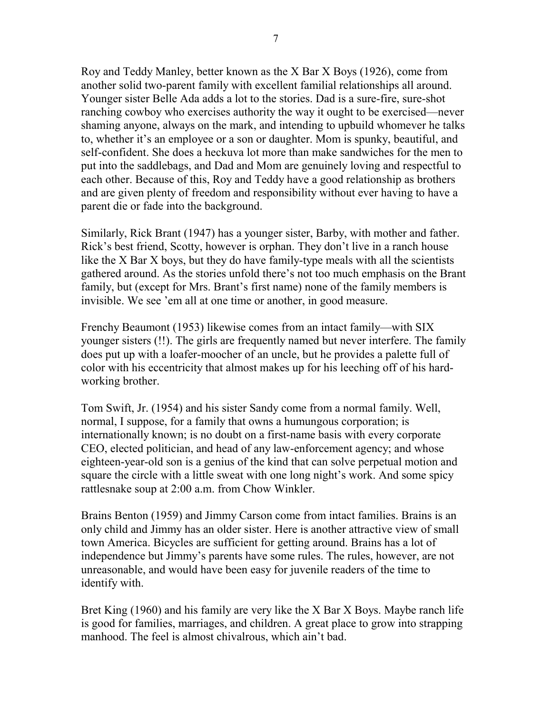Roy and Teddy Manley, better known as the X Bar X Boys (1926), come from another solid two-parent family with excellent familial relationships all around. Younger sister Belle Ada adds a lot to the stories. Dad is a sure-fire, sure-shot ranching cowboy who exercises authority the way it ought to be exercised—never shaming anyone, always on the mark, and intending to upbuild whomever he talks to, whether it's an employee or a son or daughter. Mom is spunky, beautiful, and self-confident. She does a heckuva lot more than make sandwiches for the men to put into the saddlebags, and Dad and Mom are genuinely loving and respectful to each other. Because of this, Roy and Teddy have a good relationship as brothers and are given plenty of freedom and responsibility without ever having to have a parent die or fade into the background.

Similarly, Rick Brant (1947) has a younger sister, Barby, with mother and father. Rick's best friend, Scotty, however is orphan. They don't live in a ranch house like the X Bar X boys, but they do have family-type meals with all the scientists gathered around. As the stories unfold there's not too much emphasis on the Brant family, but (except for Mrs. Brant's first name) none of the family members is invisible. We see 'em all at one time or another, in good measure.

Frenchy Beaumont (1953) likewise comes from an intact family—with SIX younger sisters (!!). The girls are frequently named but never interfere. The family does put up with a loafer-moocher of an uncle, but he provides a palette full of color with his eccentricity that almost makes up for his leeching off of his hardworking brother.

Tom Swift, Jr. (1954) and his sister Sandy come from a normal family. Well, normal, I suppose, for a family that owns a humungous corporation; is internationally known; is no doubt on a first-name basis with every corporate CEO, elected politician, and head of any law-enforcement agency; and whose eighteen-year-old son is a genius of the kind that can solve perpetual motion and square the circle with a little sweat with one long night's work. And some spicy rattlesnake soup at 2:00 a.m. from Chow Winkler.

Brains Benton (1959) and Jimmy Carson come from intact families. Brains is an only child and Jimmy has an older sister. Here is another attractive view of small town America. Bicycles are sufficient for getting around. Brains has a lot of independence but Jimmy's parents have some rules. The rules, however, are not unreasonable, and would have been easy for juvenile readers of the time to identify with.

Bret King (1960) and his family are very like the X Bar X Boys. Maybe ranch life is good for families, marriages, and children. A great place to grow into strapping manhood. The feel is almost chivalrous, which ain't bad.